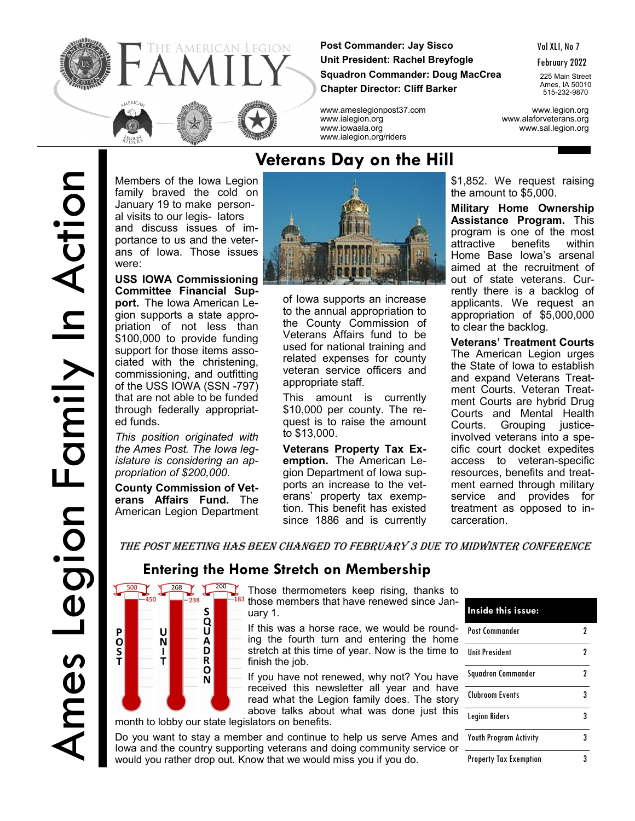

**Post Commander: Jay Sisco Unit President: Rachel Breyfogle Squadron Commander: Doug MacCrea Chapter Director: Cliff Barker**

www.ameslegionpost37.com www.legion.org www.ialegion.org www.alaforveterans.org www.iowaala.org www.sal.legion.org www.ialegion.org/riders

February 2022

225 Main Street Ames, IA 50010 515-232-9870

P

O<br>S<br>T

Members of the Iowa Legion family braved the cold on January 19 to make personal visits to our legis- lators and discuss issues of importance to us and the veterans of Iowa. Those issues were:

**USS IOWA Commissioning Committee Financial Support.** The Iowa American Legion supports a state appropriation of not less than \$100,000 to provide funding support for those items associated with the christening, commissioning, and outfitting of the USS IOWA (SSN -797) that are not able to be funded through federally appropriated funds.

*This position originated with the Ames Post. The Iowa legislature is considering an appropriation of \$200,000.*

**County Commission of Veterans Affairs Fund.** The American Legion Department

> $-238$ S

U  $\frac{N}{I}$  **O**<br>A<br>D<br>D

 $\overline{R}$  $\overline{\mathsf{N}}$ 



of Iowa supports an increase to the annual appropriation to the County Commission of Veterans Affairs fund to be used for national training and related expenses for county veteran service officers and appropriate staff.

This amount is currently \$10,000 per county. The request is to raise the amount to \$13,000.

**Veterans Property Tax Exemption.** The American Legion Department of Iowa supports an increase to the veterans' property tax exemption. This benefit has existed since 1886 and is currently

\$1,852. We request raising the amount to \$5,000.

**Military Home Ownership Assistance Program.** This program is one of the most attractive benefits within Home Base Iowa's arsenal aimed at the recruitment of out of state veterans. Currently there is a backlog of applicants. We request an appropriation of \$5,000,000 to clear the backlog.

**Veterans' Treatment Courts**  The American Legion urges the State of Iowa to establish and expand Veterans Treatment Courts. Veteran Treatment Courts are hybrid Drug Courts and Mental Health Courts. Grouping justiceinvolved veterans into a specific court docket expedites access to veteran-specific resources, benefits and treatment earned through military service and provides for treatment as opposed to incarceration.

The Post Meeting Has Been Changed to February 3 due to Midwinter Conference

### **Entering the Home Stretch on Membership**

 $\frac{500}{268}$   $\frac{268}{200}$  Those thermometers keep rising, thanks to those members that have renewed since January 1.

If this was a horse race, we would be rounding the fourth turn and entering the home stretch at this time of year. Now is the time to finish the job.

If you have not renewed, why not? You have received this newsletter all year and have read what the Legion family does. The story above talks about what was done just this

month to lobby our state legislators on benefits.

Do you want to stay a member and continue to help us serve Ames and lowa and the country supporting veterans and doing community service or would you rather drop out. Know that we would miss you if you do.

| Inside this issue:            |   |
|-------------------------------|---|
| Post Commander                | 2 |
| <b>Unit President</b>         | 2 |
| <b>Squadron Commander</b>     | 2 |
| Clubroom Events               | 3 |
| <b>Legion Riders</b>          | 3 |
| <b>Youth Program Activity</b> | 3 |
| <b>Property Tax Exemption</b> | 3 |

## **Veterans Day on the Hill**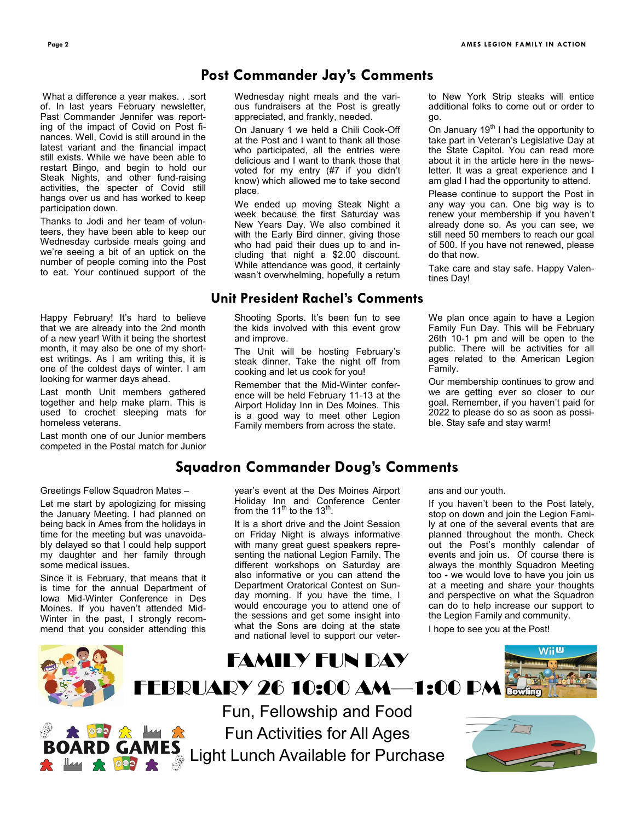#### **Post Commander Jay's Comments**

What a difference a year makes. . .sort of. In last years February newsletter, Past Commander Jennifer was reporting of the impact of Covid on Post finances. Well, Covid is still around in the latest variant and the financial impact still exists. While we have been able to restart Bingo, and begin to hold our Steak Nights, and other fund-raising activities, the specter of Covid still hangs over us and has worked to keep participation down.

Thanks to Jodi and her team of volunteers, they have been able to keep our Wednesday curbside meals going and we're seeing a bit of an uptick on the number of people coming into the Post to eat. Your continued support of the

Happy February! It's hard to believe that we are already into the 2nd month of a new year! With it being the shortest month, it may also be one of my shortest writings. As I am writing this, it is one of the coldest days of winter. I am looking for warmer days ahead.

Last month Unit members gathered together and help make plarn. This is used to crochet sleeping mats for homeless veterans.

Last month one of our Junior members competed in the Postal match for Junior

#### Greetings Fellow Squadron Mates –

Let me start by apologizing for missing the January Meeting. I had planned on being back in Ames from the holidays in time for the meeting but was unavoidably delayed so that I could help support my daughter and her family through some medical issues.

Since it is February, that means that it is time for the annual Department of Iowa Mid-Winter Conference in Des Moines. If you haven't attended Mid-Winter in the past, I strongly recommend that you consider attending this Wednesday night meals and the various fundraisers at the Post is greatly appreciated, and frankly, needed.

On January 1 we held a Chili Cook-Off at the Post and I want to thank all those who participated, all the entries were delicious and I want to thank those that voted for my entry (#7 if you didn't know) which allowed me to take second place.

We ended up moving Steak Night a week because the first Saturday was New Years Day. We also combined it with the Early Bird dinner, giving those who had paid their dues up to and including that night a \$2.00 discount. While attendance was good, it certainly wasn't overwhelming, hopefully a return

#### **Unit President Rachel's Comments**

Shooting Sports. It's been fun to see the kids involved with this event grow and improve.

The Unit will be hosting February's steak dinner. Take the night off from cooking and let us cook for you!

Remember that the Mid-Winter conference will be held February 11-13 at the Airport Holiday Inn in Des Moines. This is a good way to meet other Legion Family members from across the state.

to New York Strip steaks will entice additional folks to come out or order to go.

On January  $19<sup>th</sup>$  I had the opportunity to take part in Veteran's Legislative Day at the State Capitol. You can read more about it in the article here in the newsletter. It was a great experience and I am glad I had the opportunity to attend.

Please continue to support the Post in any way you can. One big way is to renew your membership if you haven't already done so. As you can see, we still need 50 members to reach our goal of 500. If you have not renewed, please do that now.

Take care and stay safe. Happy Valentines Day!

We plan once again to have a Legion Family Fun Day. This will be February 26th 10-1 pm and will be open to the public. There will be activities for all ages related to the American Legion Family.

Our membership continues to grow and we are getting ever so closer to our goal. Remember, if you haven't paid for 2022 to please do so as soon as possible. Stay safe and stay warm!

#### **Squadron Commander Doug's Comments**

year's event at the Des Moines Airport Holiday Inn and Conference Center from the 11<sup>th</sup> to the 13<sup>th</sup>.

It is a short drive and the Joint Session on Friday Night is always informative with many great guest speakers representing the national Legion Family. The different workshops on Saturday are also informative or you can attend the Department Oratorical Contest on Sunday morning. If you have the time, I would encourage you to attend one of the sessions and get some insight into what the Sons are doing at the state and national level to support our veterans and our youth.

If you haven't been to the Post lately, stop on down and join the Legion Family at one of the several events that are planned throughout the month. Check out the Post's monthly calendar of events and join us. Of course there is always the monthly Squadron Meeting too - we would love to have you join us at a meeting and share your thoughts and perspective on what the Squadron can do to help increase our support to the Legion Family and community. I hope to see you at the Post!

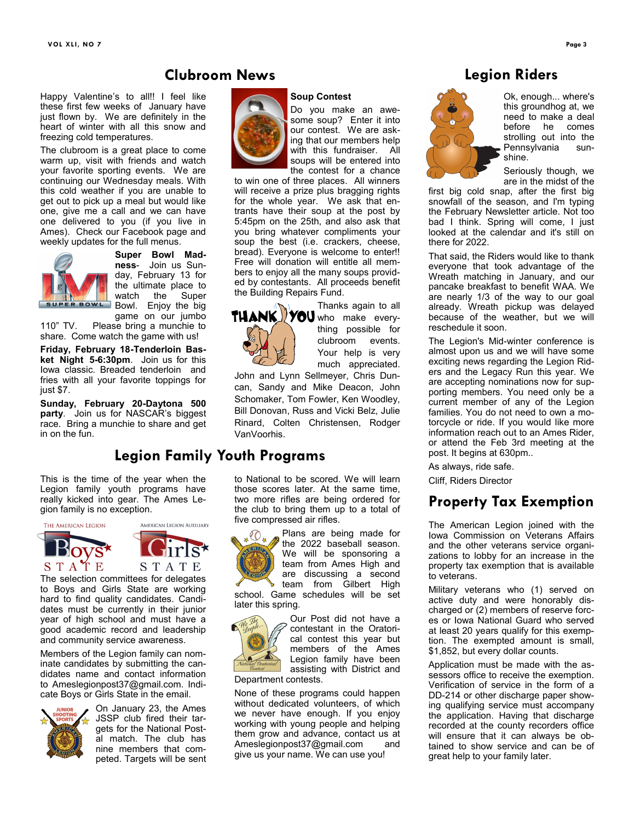#### **Clubroom News**

Happy Valentine's to all!! I feel like these first few weeks of January have just flown by. We are definitely in the heart of winter with all this snow and freezing cold temperatures.

The clubroom is a great place to come warm up, visit with friends and watch your favorite sporting events. We are continuing our Wednesday meals. With this cold weather if you are unable to get out to pick up a meal but would like one, give me a call and we can have one delivered to you (if you live in Ames). Check our Facebook page and weekly updates for the full menus.



**Super Bowl Madness**- Join us Sunday, February 13 for the ultimate place to<br>watch the Super the Super Bowl. Enjoy the big game on our jumbo

110" TV. Please bring a munchie to share. Come watch the game with us!

**Friday, February 18-Tenderloin Basket Night 5-6:30pm**. Join us for this Iowa classic. Breaded tenderloin and fries with all your favorite toppings for just \$7.

**Sunday, February 20-Daytona 500 party**. Join us for NASCAR's biggest race. Bring a munchie to share and get in on the fun.

### **Legion Family Youth Programs**

This is the time of the year when the Legion family youth programs have really kicked into gear. The Ames Legion family is no exception.



The selection committees for delegates to Boys and Girls State are working hard to find quality candidates. Candidates must be currently in their junior year of high school and must have a good academic record and leadership and community service awareness.

Members of the Legion family can nominate candidates by submitting the candidates name and contact information to Ameslegionpost37@gmail.com. Indicate Boys or Girls State in the email.



On January 23, the Ames JSSP club fired their targets for the National Postal match. The club has nine members that competed. Targets will be sent





Do you make an awesome soup? Enter it into our contest. We are asking that our members help with this fundraiser. All soups will be entered into the contest for a chance

to win one of three places. All winners will receive a prize plus bragging rights for the whole year. We ask that entrants have their soup at the post by 5:45pm on the 25th, and also ask that you bring whatever compliments your soup the best (i.e. crackers, cheese, bread). Everyone is welcome to enter!! Free will donation will entitle all members to enjoy all the many soups provided by contestants. All proceeds benefit the Building Repairs Fund.



Thanks again to all  $T$  $HANK$  $V$   $V$  $O$ U who make everything possible for clubroom events. Your help is very much appreciated.

John and Lynn Sellmeyer, Chris Duncan, Sandy and Mike Deacon, John Schomaker, Tom Fowler, Ken Woodley, Bill Donovan, Russ and Vicki Belz, Julie Rinard, Colten Christensen, Rodger VanVoorhis.

to National to be scored. We will learn those scores later. At the same time, two more rifles are being ordered for the club to bring them up to a total of five compressed air rifles.



Plans are being made for the 2022 baseball season. We will be sponsoring a team from Ames High and are discussing a second team from Gilbert High

school. Game schedules will be set later this spring.



Our Post did not have a contestant in the Oratorical contest this year but members of the Ames Legion family have been assisting with District and

Department contests.

None of these programs could happen without dedicated volunteers, of which we never have enough. If you enjoy working with young people and helping them grow and advance, contact us at Ameslegionpost37@gmail.com and give us your name. We can use you!

#### **Legion Riders**



Ok, enough... where's this groundhog at, we need to make a deal before he comes strolling out into the Pennsylvania sunshine.

Seriously though, we are in the midst of the

first big cold snap, after the first big snowfall of the season, and I'm typing the February Newsletter article. Not too bad I think. Spring will come, I just looked at the calendar and it's still on there for 2022.

That said, the Riders would like to thank everyone that took advantage of the Wreath matching in January, and our pancake breakfast to benefit WAA. We are nearly 1/3 of the way to our goal already. Wreath pickup was delayed because of the weather, but we will reschedule it soon.

The Legion's Mid-winter conference is almost upon us and we will have some exciting news regarding the Legion Riders and the Legacy Run this year. We are accepting nominations now for supporting members. You need only be a current member of any of the Legion families. You do not need to own a motorcycle or ride. If you would like more information reach out to an Ames Rider, or attend the Feb 3rd meeting at the post. It begins at 630pm..

As always, ride safe.

Cliff, Riders Director

### **Property Tax Exemption**

The American Legion joined with the Iowa Commission on Veterans Affairs and the other veterans service organizations to lobby for an increase in the property tax exemption that is available to veterans.

Military veterans who (1) served on active duty and were honorably discharged or (2) members of reserve forces or Iowa National Guard who served at least 20 years qualify for this exemption. The exempted amount is small, \$1,852, but every dollar counts.

Application must be made with the assessors office to receive the exemption. Verification of service in the form of a DD-214 or other discharge paper showing qualifying service must accompany the application. Having that discharge recorded at the county recorders office will ensure that it can always be obtained to show service and can be of great help to your family later.